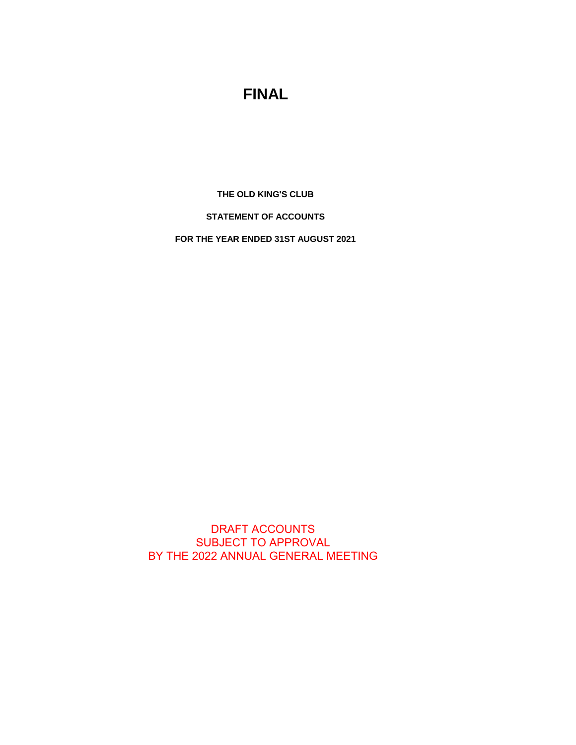# **FINAL**

**THE OLD KING'S CLUB**

**STATEMENT OF ACCOUNTS**

**FOR THE YEAR ENDED 31ST AUGUST 2021**

DRAFT ACCOUNTS SUBJECT TO APPROVAL BY THE 2022 ANNUAL GENERAL MEETING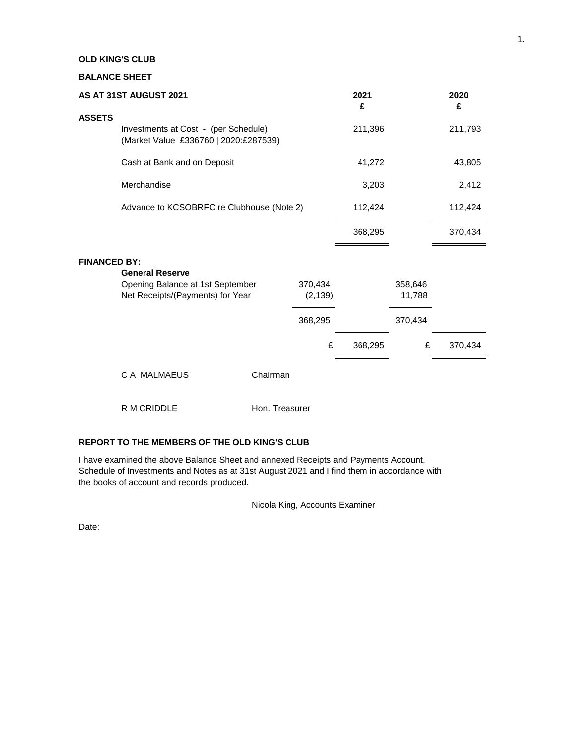## **OLD KING'S CLUB**

### **BALANCE SHEET**

| AS AT 31ST AUGUST 2021 |                                                                               |                |                     | 2021<br>£ |                   | 2020<br>£ |
|------------------------|-------------------------------------------------------------------------------|----------------|---------------------|-----------|-------------------|-----------|
| <b>ASSETS</b>          | Investments at Cost - (per Schedule)<br>(Market Value £336760   2020:£287539) |                |                     | 211,396   |                   | 211,793   |
|                        | Cash at Bank and on Deposit                                                   |                |                     | 41,272    |                   | 43,805    |
|                        | Merchandise                                                                   |                |                     | 3,203     |                   | 2,412     |
|                        | Advance to KCSOBRFC re Clubhouse (Note 2)                                     |                |                     | 112,424   |                   | 112,424   |
|                        |                                                                               |                |                     | 368,295   |                   | 370,434   |
| <b>FINANCED BY:</b>    | <b>General Reserve</b>                                                        |                |                     |           |                   |           |
|                        | Opening Balance at 1st September<br>Net Receipts/(Payments) for Year          |                | 370,434<br>(2, 139) |           | 358,646<br>11,788 |           |
|                        |                                                                               |                | 368,295             |           | 370,434           |           |
|                        |                                                                               |                | £                   | 368,295   | £                 | 370,434   |
|                        | C A MALMAEUS                                                                  | Chairman       |                     |           |                   |           |
|                        | R M CRIDDLE                                                                   | Hon. Treasurer |                     |           |                   |           |

# **REPORT TO THE MEMBERS OF THE OLD KING'S CLUB**

I have examined the above Balance Sheet and annexed Receipts and Payments Account, Schedule of Investments and Notes as at 31st August 2021 and I find them in accordance with the books of account and records produced.

Nicola King, Accounts Examiner

Date: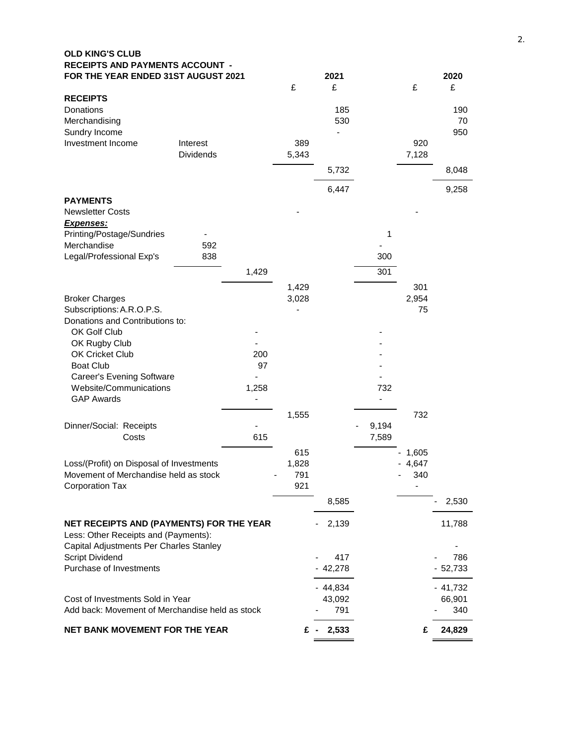| <b>OLD KING'S CLUB</b><br><b>RECEIPTS AND PAYMENTS ACCOUNT -</b> |       |       |                     |       |                              |                     |  |  |  |
|------------------------------------------------------------------|-------|-------|---------------------|-------|------------------------------|---------------------|--|--|--|
| FOR THE YEAR ENDED 31ST AUGUST 2021                              |       | £     | 2021<br>£           |       | £                            | 2020<br>£           |  |  |  |
| <b>RECEIPTS</b>                                                  |       |       |                     |       |                              |                     |  |  |  |
| Donations                                                        |       |       | 185                 |       |                              | 190                 |  |  |  |
| Merchandising                                                    |       |       | 530                 |       |                              | 70                  |  |  |  |
| Sundry Income                                                    |       |       |                     |       |                              | 950                 |  |  |  |
| Investment Income<br>Interest                                    |       | 389   |                     |       | 920                          |                     |  |  |  |
| <b>Dividends</b>                                                 |       | 5,343 |                     |       | 7,128                        |                     |  |  |  |
|                                                                  |       |       | 5,732               |       |                              | 8,048               |  |  |  |
|                                                                  |       |       | 6,447               |       |                              | 9,258               |  |  |  |
| <b>PAYMENTS</b>                                                  |       |       |                     |       |                              |                     |  |  |  |
| <b>Newsletter Costs</b>                                          |       |       |                     |       |                              |                     |  |  |  |
| <u>Expenses:</u>                                                 |       |       |                     |       |                              |                     |  |  |  |
| Printing/Postage/Sundries                                        |       |       |                     | 1     |                              |                     |  |  |  |
| Merchandise<br>592                                               |       |       |                     |       |                              |                     |  |  |  |
| Legal/Professional Exp's<br>838                                  |       |       |                     | 300   |                              |                     |  |  |  |
|                                                                  | 1,429 |       |                     | 301   |                              |                     |  |  |  |
|                                                                  |       | 1,429 |                     |       | 301                          |                     |  |  |  |
| <b>Broker Charges</b>                                            |       | 3,028 |                     |       | 2,954                        |                     |  |  |  |
| Subscriptions: A.R.O.P.S.                                        |       |       |                     |       | 75                           |                     |  |  |  |
| Donations and Contributions to:                                  |       |       |                     |       |                              |                     |  |  |  |
| OK Golf Club<br>OK Rugby Club                                    |       |       |                     |       |                              |                     |  |  |  |
| OK Cricket Club                                                  | 200   |       |                     |       |                              |                     |  |  |  |
| <b>Boat Club</b>                                                 | 97    |       |                     |       |                              |                     |  |  |  |
| <b>Career's Evening Software</b>                                 |       |       |                     |       |                              |                     |  |  |  |
| Website/Communications                                           | 1,258 |       |                     | 732   |                              |                     |  |  |  |
| <b>GAP Awards</b>                                                |       |       |                     |       |                              |                     |  |  |  |
|                                                                  |       | 1,555 |                     |       | 732                          |                     |  |  |  |
| Dinner/Social: Receipts                                          |       |       |                     | 9,194 |                              |                     |  |  |  |
| Costs                                                            | 615   |       |                     | 7,589 |                              |                     |  |  |  |
|                                                                  |       | 615   |                     |       | 1,605                        |                     |  |  |  |
| Loss/(Profit) on Disposal of Investments                         |       | 1,828 |                     |       | $-4,647$                     |                     |  |  |  |
| Movement of Merchandise held as stock                            |       | 791   |                     |       | 340                          |                     |  |  |  |
| <b>Corporation Tax</b>                                           |       | 921   |                     |       | $\qquad \qquad \blacksquare$ |                     |  |  |  |
|                                                                  |       |       | 8,585               |       |                              | 2,530               |  |  |  |
| NET RECEIPTS AND (PAYMENTS) FOR THE YEAR                         |       |       | 2,139               |       |                              | 11,788              |  |  |  |
| Less: Other Receipts and (Payments):                             |       |       |                     |       |                              |                     |  |  |  |
| Capital Adjustments Per Charles Stanley                          |       |       |                     |       |                              |                     |  |  |  |
| <b>Script Dividend</b>                                           |       |       | 417                 |       |                              | 786                 |  |  |  |
| Purchase of Investments                                          |       |       | 42,278              |       |                              | 52,733              |  |  |  |
|                                                                  |       |       |                     |       |                              |                     |  |  |  |
| Cost of Investments Sold in Year                                 |       |       | $-44,834$<br>43,092 |       |                              | $-41,732$<br>66,901 |  |  |  |
| Add back: Movement of Merchandise held as stock                  |       |       | 791                 |       |                              | 340                 |  |  |  |
| <b>NET BANK MOVEMENT FOR THE YEAR</b>                            |       |       | 2,533<br>£-         |       | £                            | 24,829              |  |  |  |